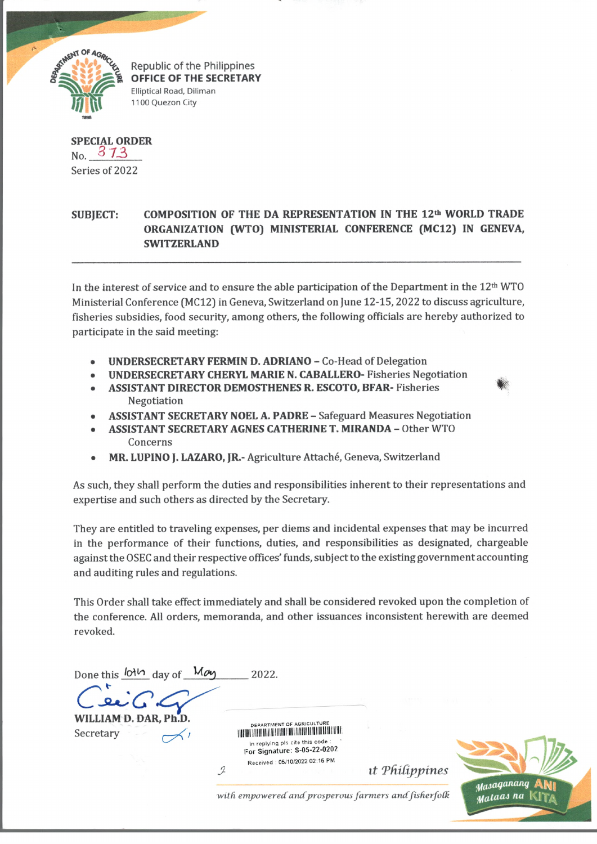

Republic of the Philippines **OFFICE OF THE SECRETARY** Elliptical Road, Diliman 1100 Quezon City

**SPECIAL ORDER No.** *3 73* **Series of 2022**

## SUBIECT: COMPOSITION OF THE DA REPRESENTATION IN THE 12<sup>th</sup> WORLD TRADE **ORGANIZATION (WTO) MINISTERIAL CONFERENCE (MC12) IN GENEVA, SWITZERLAND**

**In the interest of service and to ensure the able participation of the Department in the 12th WTO Ministerial Conference (MC12) in Geneva, Switzerland on June 12-15,2022 to discuss agriculture, fisheries subsidies, food security, among others, the following officials are hereby authorized to participate in the said meeting:**

- **UNDERSECRETARY FERMIN D. ADRIANO Co-Head of Delegation**
- **UNDERSECRETARY CHERYL MARIE N. CABALLERO- Fisheries Negotiation**
- **ASSISTANT DIRECTOR DEMOSTHENES R. ESCOTO, BFAR- Fisheries** *&* **Negotiation**
- **ASSISTANT SECRETARY NOEL A. PADRE Safeguard Measures Negotiation**
- **ASSISTANT SECRETARY AGNES CATHERINE T. MIRANDA Other WTO Concerns**
- **MR. LUPINO J. LAZARO, JR.- Agriculture Attache, Geneva, Switzerland**

**As such, they shall perform the duties and responsibilities inherent to their representations and expertise and such others as directed by the Secretary.**

**They are entitled to traveling expenses, per diems and incidental expenses that may be incurred in the performance of their functions, duties, and responsibilities as designated, chargeable against the OSEC and their respective offices' funds, subject to the existing government accounting and auditing rules and regulations.**

**This Order shall take effect immediately and shall be considered revoked upon the completion of the conference. All orders, memoranda, and other issuances inconsistent herewith are deemed revoked.**

**Done this day of** *^ 6H/)***\_\_\_\_\_\_\_\_ 2022.** WILLIAM D. DAR, Ph. DEPARTMENT OF AGRICULTURE **Secretary** *1* in replying pis cite this code For Signature: S-05-22-0202 Received : 05/10/2022 02:15 PM *ut Philippines*  $\mathcal{I}$ Masaganang with empowered and prosperous farmers and fisherfolk mataas na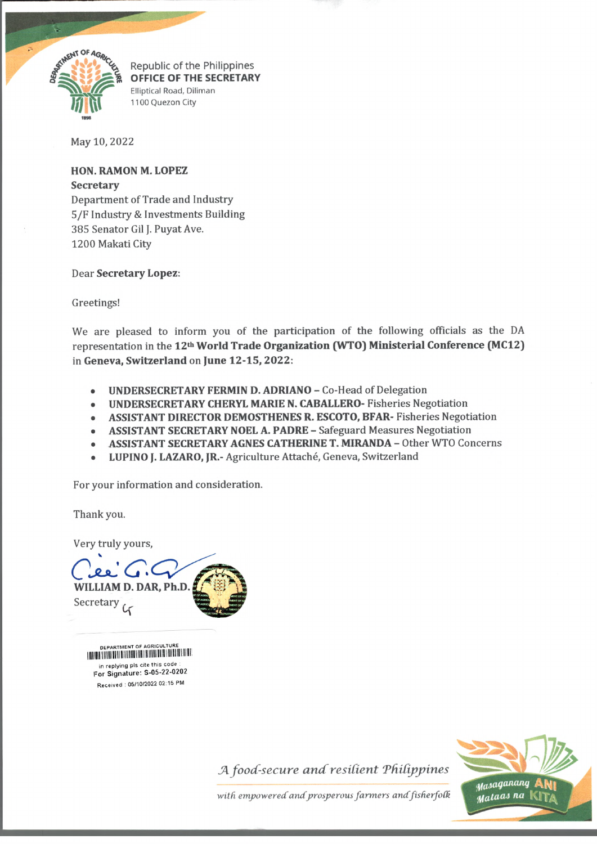

Republic of the Philippines **OFFICE OF THE SECRETARY** Elliptical Road, Diliman 1100 Quezon City

**May 10, 2022**

**HON. RAMON M. LOPEZ Secretary Department of Trade and Industry 5/F Industry & Investments Building 385 Senator Gil J. Puyat Ave. 1200 Makati City**

**Dear Secretary Lopez:**

**Greetings!**

**We are pleased to inform you of the participation of the following officials as the DA representation in the 12th World Trade Organization (WTO) Ministerial Conference (MC12) in Geneva, Switzerland on June 12-15, 2022:**

- **UNDERSECRETARY FERMIN D. ADRIANO Co-Head of Delegation**
- **UNDERSECRETARY CHERYL MARIE N. CABALLERO- Fisheries Negotiation**
- **ASSISTANT DIRECTOR DEMOSTHENES R. ESCOTO, BFAR- Fisheries Negotiation**
- **ASSISTANT SECRETARY NOEL A. PADRE Safeguard Measures Negotiation**
- **ASSISTANT SECRETARY AGNES CATHERINE T. MIRANDA Other WTO Concerns**
- **LUPINO J. LAZARO, JR.- Agriculture Attache, Geneva, Switzerland**

**For your information and consideration.**

**Thank you.**

**Very truly yours,**

WILLIAM D. DAR, Ph.D. Secretary 4

DEPARTMENT OF AGRICULTURE For Signature: S-05-22-0202 Received : 05/10/2022 02:15 PM in replying pls cite this code

*JA food-secure andresdient Tfidippines*



with empowered and prosperous farmers and fisherfolk